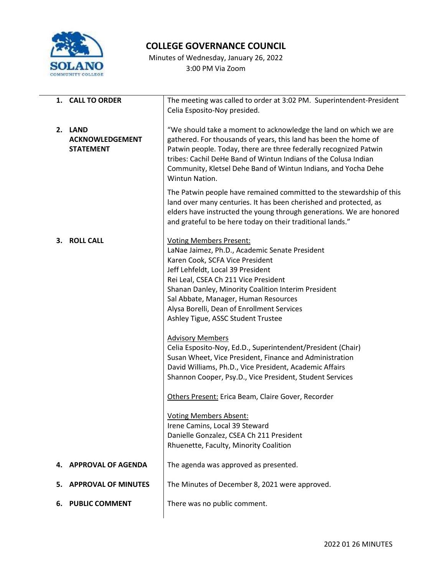

## **COLLEGE GOVERNANCE COUNCIL**

Minutes of Wednesday, January 26, 2022 3:00 PM Via Zoom

|    | 1. CALL TO ORDER           | The meeting was called to order at 3:02 PM. Superintendent-President |
|----|----------------------------|----------------------------------------------------------------------|
|    |                            | Celia Esposito-Noy presided.                                         |
|    |                            |                                                                      |
|    | 2. LAND                    | "We should take a moment to acknowledge the land on which we are     |
|    |                            |                                                                      |
|    | <b>ACKNOWLEDGEMENT</b>     | gathered. For thousands of years, this land has been the home of     |
|    | <b>STATEMENT</b>           | Patwin people. Today, there are three federally recognized Patwin    |
|    |                            | tribes: Cachil DeHe Band of Wintun Indians of the Colusa Indian      |
|    |                            | Community, Kletsel Dehe Band of Wintun Indians, and Yocha Dehe       |
|    |                            |                                                                      |
|    |                            | Wintun Nation.                                                       |
|    |                            | The Patwin people have remained committed to the stewardship of this |
|    |                            | land over many centuries. It has been cherished and protected, as    |
|    |                            |                                                                      |
|    |                            | elders have instructed the young through generations. We are honored |
|    |                            | and grateful to be here today on their traditional lands."           |
|    |                            |                                                                      |
| З. | <b>ROLL CALL</b>           | <b>Voting Members Present:</b>                                       |
|    |                            | LaNae Jaimez, Ph.D., Academic Senate President                       |
|    |                            | Karen Cook, SCFA Vice President                                      |
|    |                            | Jeff Lehfeldt, Local 39 President                                    |
|    |                            |                                                                      |
|    |                            | Rei Leal, CSEA Ch 211 Vice President                                 |
|    |                            | Shanan Danley, Minority Coalition Interim President                  |
|    |                            | Sal Abbate, Manager, Human Resources                                 |
|    |                            | Alysa Borelli, Dean of Enrollment Services                           |
|    |                            | Ashley Tigue, ASSC Student Trustee                                   |
|    |                            |                                                                      |
|    |                            | <b>Advisory Members</b>                                              |
|    |                            |                                                                      |
|    |                            | Celia Esposito-Noy, Ed.D., Superintendent/President (Chair)          |
|    |                            | Susan Wheet, Vice President, Finance and Administration              |
|    |                            | David Williams, Ph.D., Vice President, Academic Affairs              |
|    |                            | Shannon Cooper, Psy.D., Vice President, Student Services             |
|    |                            |                                                                      |
|    |                            | Others Present: Erica Beam, Claire Gover, Recorder                   |
|    |                            |                                                                      |
|    |                            | <b>Voting Members Absent:</b>                                        |
|    |                            | Irene Camins, Local 39 Steward                                       |
|    |                            | Danielle Gonzalez, CSEA Ch 211 President                             |
|    |                            |                                                                      |
|    |                            | Rhuenette, Faculty, Minority Coalition                               |
|    |                            |                                                                      |
| 4. | <b>APPROVAL OF AGENDA</b>  | The agenda was approved as presented.                                |
| 5. | <b>APPROVAL OF MINUTES</b> | The Minutes of December 8, 2021 were approved.                       |
|    |                            |                                                                      |
|    |                            | There was no public comment.                                         |
| 6. | <b>PUBLIC COMMENT</b>      |                                                                      |
|    |                            |                                                                      |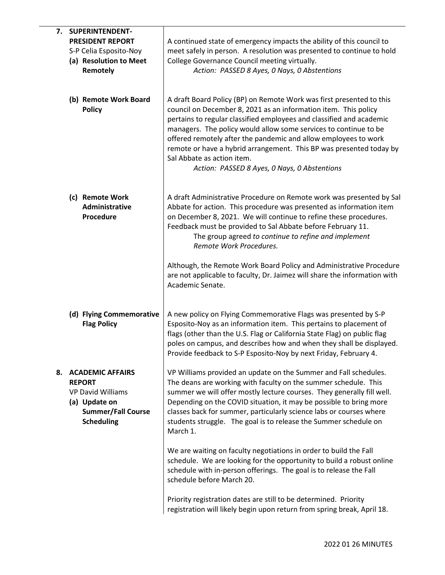| 7. | SUPERINTENDENT-                                                                                                                         |                                                                                                                                                                                                                                                                                                                                                                                                                                            |
|----|-----------------------------------------------------------------------------------------------------------------------------------------|--------------------------------------------------------------------------------------------------------------------------------------------------------------------------------------------------------------------------------------------------------------------------------------------------------------------------------------------------------------------------------------------------------------------------------------------|
|    | <b>PRESIDENT REPORT</b>                                                                                                                 | A continued state of emergency impacts the ability of this council to                                                                                                                                                                                                                                                                                                                                                                      |
|    | S-P Celia Esposito-Noy                                                                                                                  | meet safely in person. A resolution was presented to continue to hold                                                                                                                                                                                                                                                                                                                                                                      |
|    | (a) Resolution to Meet                                                                                                                  | College Governance Council meeting virtually.                                                                                                                                                                                                                                                                                                                                                                                              |
|    | Remotely                                                                                                                                | Action: PASSED 8 Ayes, 0 Nays, 0 Abstentions                                                                                                                                                                                                                                                                                                                                                                                               |
|    |                                                                                                                                         |                                                                                                                                                                                                                                                                                                                                                                                                                                            |
|    | (b) Remote Work Board                                                                                                                   | A draft Board Policy (BP) on Remote Work was first presented to this                                                                                                                                                                                                                                                                                                                                                                       |
|    | <b>Policy</b>                                                                                                                           | council on December 8, 2021 as an information item. This policy<br>pertains to regular classified employees and classified and academic<br>managers. The policy would allow some services to continue to be<br>offered remotely after the pandemic and allow employees to work<br>remote or have a hybrid arrangement. This BP was presented today by<br>Sal Abbate as action item.<br>Action: PASSED 8 Ayes, 0 Nays, 0 Abstentions        |
|    | (c) Remote Work<br>Administrative<br>Procedure                                                                                          | A draft Administrative Procedure on Remote work was presented by Sal<br>Abbate for action. This procedure was presented as information item<br>on December 8, 2021. We will continue to refine these procedures.<br>Feedback must be provided to Sal Abbate before February 11.<br>The group agreed to continue to refine and implement<br>Remote Work Procedures.                                                                         |
|    |                                                                                                                                         | Although, the Remote Work Board Policy and Administrative Procedure<br>are not applicable to faculty, Dr. Jaimez will share the information with<br>Academic Senate.                                                                                                                                                                                                                                                                       |
|    | (d) Flying Commemorative<br><b>Flag Policy</b>                                                                                          | A new policy on Flying Commemorative Flags was presented by S-P<br>Esposito-Noy as an information item. This pertains to placement of<br>flags (other than the U.S. Flag or California State Flag) on public flag<br>poles on campus, and describes how and when they shall be displayed.<br>Provide feedback to S-P Esposito-Noy by next Friday, February 4.                                                                              |
| 8. | <b>ACADEMIC AFFAIRS</b><br><b>REPORT</b><br><b>VP David Williams</b><br>(a) Update on<br><b>Summer/Fall Course</b><br><b>Scheduling</b> | VP Williams provided an update on the Summer and Fall schedules.<br>The deans are working with faculty on the summer schedule. This<br>summer we will offer mostly lecture courses. They generally fill well.<br>Depending on the COVID situation, it may be possible to bring more<br>classes back for summer, particularly science labs or courses where<br>students struggle. The goal is to release the Summer schedule on<br>March 1. |
|    |                                                                                                                                         | We are waiting on faculty negotiations in order to build the Fall<br>schedule. We are looking for the opportunity to build a robust online<br>schedule with in-person offerings. The goal is to release the Fall<br>schedule before March 20.                                                                                                                                                                                              |
|    |                                                                                                                                         | Priority registration dates are still to be determined. Priority<br>registration will likely begin upon return from spring break, April 18.                                                                                                                                                                                                                                                                                                |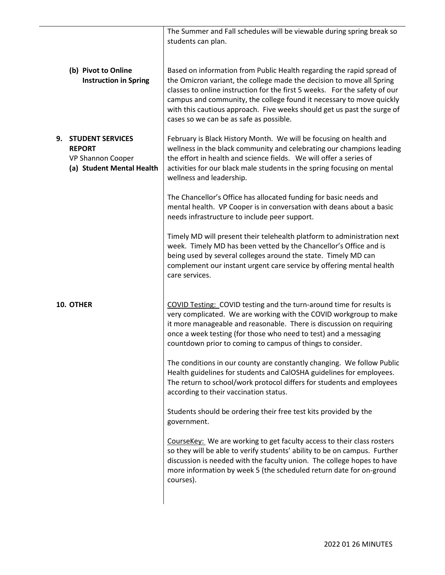|                                                                                                  | The Summer and Fall schedules will be viewable during spring break so<br>students can plan.                                                                                                                                                                                                                                                                                                                                |
|--------------------------------------------------------------------------------------------------|----------------------------------------------------------------------------------------------------------------------------------------------------------------------------------------------------------------------------------------------------------------------------------------------------------------------------------------------------------------------------------------------------------------------------|
|                                                                                                  |                                                                                                                                                                                                                                                                                                                                                                                                                            |
| (b) Pivot to Online<br><b>Instruction in Spring</b>                                              | Based on information from Public Health regarding the rapid spread of<br>the Omicron variant, the college made the decision to move all Spring<br>classes to online instruction for the first 5 weeks. For the safety of our<br>campus and community, the college found it necessary to move quickly<br>with this cautious approach. Five weeks should get us past the surge of<br>cases so we can be as safe as possible. |
| <b>STUDENT SERVICES</b><br>9.<br><b>REPORT</b><br>VP Shannon Cooper<br>(a) Student Mental Health | February is Black History Month. We will be focusing on health and<br>wellness in the black community and celebrating our champions leading<br>the effort in health and science fields. We will offer a series of<br>activities for our black male students in the spring focusing on mental<br>wellness and leadership.                                                                                                   |
|                                                                                                  | The Chancellor's Office has allocated funding for basic needs and<br>mental health. VP Cooper is in conversation with deans about a basic<br>needs infrastructure to include peer support.                                                                                                                                                                                                                                 |
|                                                                                                  | Timely MD will present their telehealth platform to administration next<br>week. Timely MD has been vetted by the Chancellor's Office and is<br>being used by several colleges around the state. Timely MD can<br>complement our instant urgent care service by offering mental health<br>care services.                                                                                                                   |
| 10. OTHER                                                                                        | COVID Testing: COVID testing and the turn-around time for results is<br>very complicated. We are working with the COVID workgroup to make<br>it more manageable and reasonable. There is discussion on requiring<br>once a week testing (for those who need to test) and a messaging<br>countdown prior to coming to campus of things to consider.                                                                         |
|                                                                                                  | The conditions in our county are constantly changing. We follow Public<br>Health guidelines for students and CalOSHA guidelines for employees.<br>The return to school/work protocol differs for students and employees<br>according to their vaccination status.                                                                                                                                                          |
|                                                                                                  | Students should be ordering their free test kits provided by the<br>government.                                                                                                                                                                                                                                                                                                                                            |
|                                                                                                  | CourseKey: We are working to get faculty access to their class rosters<br>so they will be able to verify students' ability to be on campus. Further<br>discussion is needed with the faculty union. The college hopes to have<br>more information by week 5 (the scheduled return date for on-ground<br>courses).                                                                                                          |
|                                                                                                  |                                                                                                                                                                                                                                                                                                                                                                                                                            |